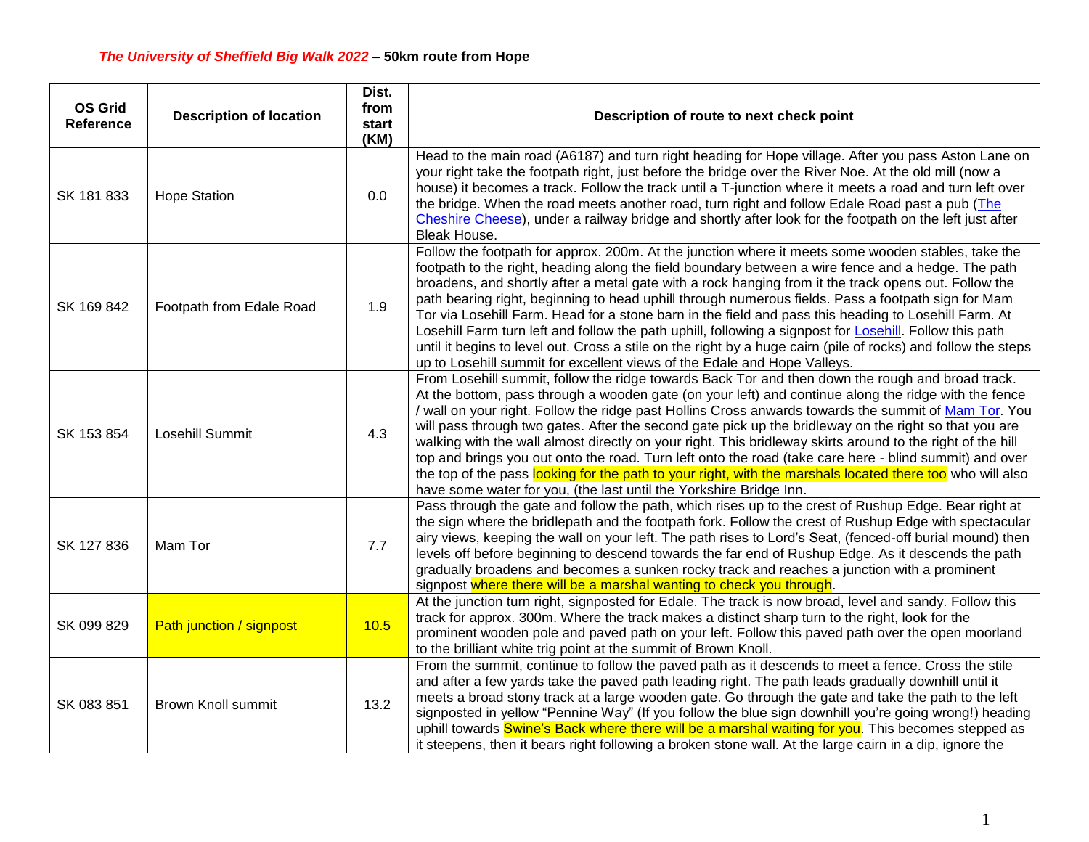| <b>OS Grid</b><br>Reference | <b>Description of location</b> | Dist.<br>from<br>start<br>(KM) | Description of route to next check point                                                                                                                                                                                                                                                                                                                                                                                                                                                                                                                                                                                                                                                                                                                                                                                               |
|-----------------------------|--------------------------------|--------------------------------|----------------------------------------------------------------------------------------------------------------------------------------------------------------------------------------------------------------------------------------------------------------------------------------------------------------------------------------------------------------------------------------------------------------------------------------------------------------------------------------------------------------------------------------------------------------------------------------------------------------------------------------------------------------------------------------------------------------------------------------------------------------------------------------------------------------------------------------|
| SK 181 833                  | <b>Hope Station</b>            | 0.0                            | Head to the main road (A6187) and turn right heading for Hope village. After you pass Aston Lane on<br>your right take the footpath right, just before the bridge over the River Noe. At the old mill (now a<br>house) it becomes a track. Follow the track until a T-junction where it meets a road and turn left over<br>the bridge. When the road meets another road, turn right and follow Edale Road past a pub (The<br>Cheshire Cheese), under a railway bridge and shortly after look for the footpath on the left just after<br><b>Bleak House.</b>                                                                                                                                                                                                                                                                            |
| SK 169 842                  | Footpath from Edale Road       | 1.9                            | Follow the footpath for approx. 200m. At the junction where it meets some wooden stables, take the<br>footpath to the right, heading along the field boundary between a wire fence and a hedge. The path<br>broadens, and shortly after a metal gate with a rock hanging from it the track opens out. Follow the<br>path bearing right, beginning to head uphill through numerous fields. Pass a footpath sign for Mam<br>Tor via Losehill Farm. Head for a stone barn in the field and pass this heading to Losehill Farm. At<br>Losehill Farm turn left and follow the path uphill, following a signpost for Losehill. Follow this path<br>until it begins to level out. Cross a stile on the right by a huge cairn (pile of rocks) and follow the steps<br>up to Losehill summit for excellent views of the Edale and Hope Valleys. |
| SK 153 854                  | Losehill Summit                | 4.3                            | From Losehill summit, follow the ridge towards Back Tor and then down the rough and broad track.<br>At the bottom, pass through a wooden gate (on your left) and continue along the ridge with the fence<br>/ wall on your right. Follow the ridge past Hollins Cross anwards towards the summit of Mam Tor. You<br>will pass through two gates. After the second gate pick up the bridleway on the right so that you are<br>walking with the wall almost directly on your right. This bridleway skirts around to the right of the hill<br>top and brings you out onto the road. Turn left onto the road (take care here - blind summit) and over<br>the top of the pass looking for the path to your right, with the marshals located there too who will also<br>have some water for you, (the last until the Yorkshire Bridge Inn.   |
| SK 127 836                  | Mam Tor                        | 7.7                            | Pass through the gate and follow the path, which rises up to the crest of Rushup Edge. Bear right at<br>the sign where the bridlepath and the footpath fork. Follow the crest of Rushup Edge with spectacular<br>airy views, keeping the wall on your left. The path rises to Lord's Seat, (fenced-off burial mound) then<br>levels off before beginning to descend towards the far end of Rushup Edge. As it descends the path<br>gradually broadens and becomes a sunken rocky track and reaches a junction with a prominent<br>signpost where there will be a marshal wanting to check you through.                                                                                                                                                                                                                                 |
| SK 099 829                  | Path junction / signpost       | 10.5                           | At the junction turn right, signposted for Edale. The track is now broad, level and sandy. Follow this<br>track for approx. 300m. Where the track makes a distinct sharp turn to the right, look for the<br>prominent wooden pole and paved path on your left. Follow this paved path over the open moorland<br>to the brilliant white trig point at the summit of Brown Knoll.                                                                                                                                                                                                                                                                                                                                                                                                                                                        |
| SK 083 851                  | <b>Brown Knoll summit</b>      | 13.2                           | From the summit, continue to follow the paved path as it descends to meet a fence. Cross the stile<br>and after a few yards take the paved path leading right. The path leads gradually downhill until it<br>meets a broad stony track at a large wooden gate. Go through the gate and take the path to the left<br>signposted in yellow "Pennine Way" (If you follow the blue sign downhill you're going wrong!) heading<br>uphill towards Swine's Back where there will be a marshal waiting for you. This becomes stepped as<br>it steepens, then it bears right following a broken stone wall. At the large cairn in a dip, ignore the                                                                                                                                                                                             |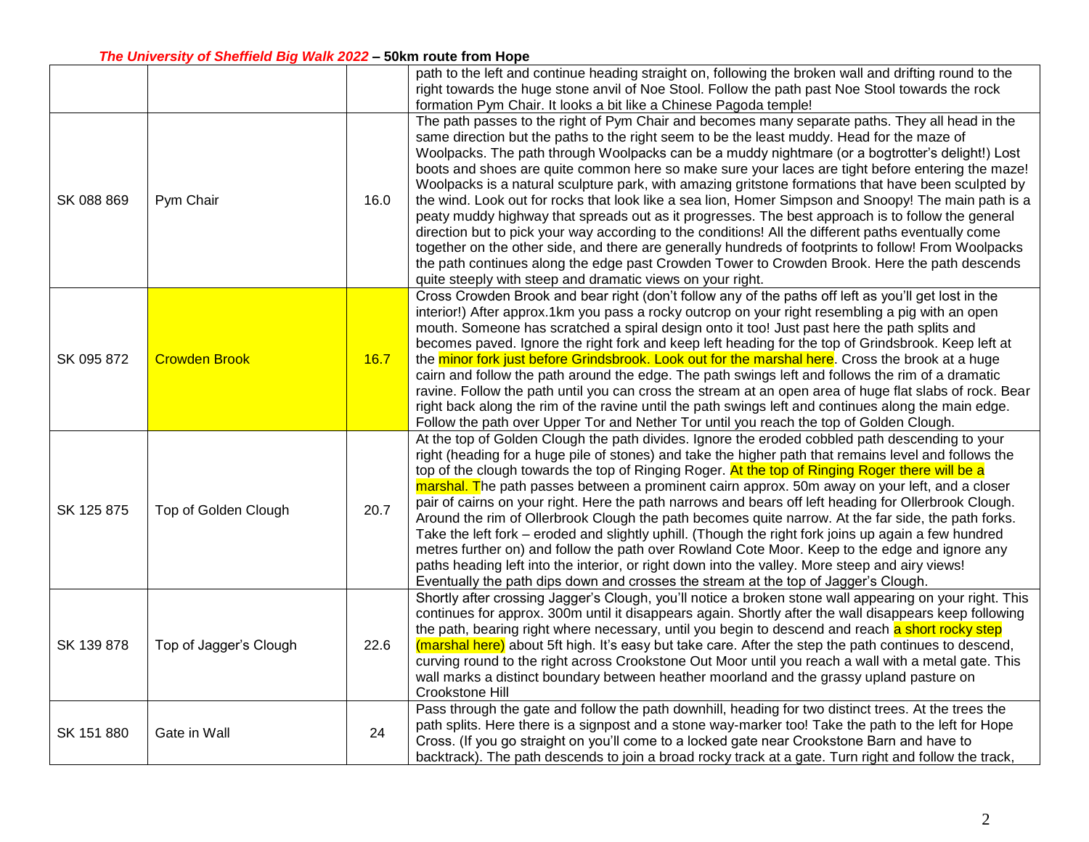## *The University of Sheffield Big Walk 2022* **– 50km route from Hope**

|            |                        |      | path to the left and continue heading straight on, following the broken wall and drifting round to the<br>right towards the huge stone anvil of Noe Stool. Follow the path past Noe Stool towards the rock<br>formation Pym Chair. It looks a bit like a Chinese Pagoda temple!                                                                                                                                                                                                                                                                                                                                                                                                                                                                                                                                                                                                                                                                                                                                                                                                                          |
|------------|------------------------|------|----------------------------------------------------------------------------------------------------------------------------------------------------------------------------------------------------------------------------------------------------------------------------------------------------------------------------------------------------------------------------------------------------------------------------------------------------------------------------------------------------------------------------------------------------------------------------------------------------------------------------------------------------------------------------------------------------------------------------------------------------------------------------------------------------------------------------------------------------------------------------------------------------------------------------------------------------------------------------------------------------------------------------------------------------------------------------------------------------------|
| SK 088 869 | Pym Chair              | 16.0 | The path passes to the right of Pym Chair and becomes many separate paths. They all head in the<br>same direction but the paths to the right seem to be the least muddy. Head for the maze of<br>Woolpacks. The path through Woolpacks can be a muddy nightmare (or a bogtrotter's delight!) Lost<br>boots and shoes are quite common here so make sure your laces are tight before entering the maze!<br>Woolpacks is a natural sculpture park, with amazing gritstone formations that have been sculpted by<br>the wind. Look out for rocks that look like a sea lion, Homer Simpson and Snoopy! The main path is a<br>peaty muddy highway that spreads out as it progresses. The best approach is to follow the general<br>direction but to pick your way according to the conditions! All the different paths eventually come<br>together on the other side, and there are generally hundreds of footprints to follow! From Woolpacks<br>the path continues along the edge past Crowden Tower to Crowden Brook. Here the path descends<br>quite steeply with steep and dramatic views on your right. |
| SK 095 872 | <b>Crowden Brook</b>   | 16.7 | Cross Crowden Brook and bear right (don't follow any of the paths off left as you'll get lost in the<br>interior!) After approx.1km you pass a rocky outcrop on your right resembling a pig with an open<br>mouth. Someone has scratched a spiral design onto it too! Just past here the path splits and<br>becomes paved. Ignore the right fork and keep left heading for the top of Grindsbrook. Keep left at<br>the minor fork just before Grindsbrook. Look out for the marshal here. Cross the brook at a huge<br>cairn and follow the path around the edge. The path swings left and follows the rim of a dramatic<br>ravine. Follow the path until you can cross the stream at an open area of huge flat slabs of rock. Bear<br>right back along the rim of the ravine until the path swings left and continues along the main edge.<br>Follow the path over Upper Tor and Nether Tor until you reach the top of Golden Clough.                                                                                                                                                                   |
| SK 125 875 | Top of Golden Clough   | 20.7 | At the top of Golden Clough the path divides. Ignore the eroded cobbled path descending to your<br>right (heading for a huge pile of stones) and take the higher path that remains level and follows the<br>top of the clough towards the top of Ringing Roger. At the top of Ringing Roger there will be a<br>marshal. The path passes between a prominent cairn approx. 50m away on your left, and a closer<br>pair of cairns on your right. Here the path narrows and bears off left heading for Ollerbrook Clough.<br>Around the rim of Ollerbrook Clough the path becomes quite narrow. At the far side, the path forks.<br>Take the left fork – eroded and slightly uphill. (Though the right fork joins up again a few hundred<br>metres further on) and follow the path over Rowland Cote Moor. Keep to the edge and ignore any<br>paths heading left into the interior, or right down into the valley. More steep and airy views!<br>Eventually the path dips down and crosses the stream at the top of Jagger's Clough.                                                                        |
| SK 139 878 | Top of Jagger's Clough | 22.6 | Shortly after crossing Jagger's Clough, you'll notice a broken stone wall appearing on your right. This<br>continues for approx. 300m until it disappears again. Shortly after the wall disappears keep following<br>the path, bearing right where necessary, until you begin to descend and reach a short rocky step<br>(marshal here) about 5ft high. It's easy but take care. After the step the path continues to descend,<br>curving round to the right across Crookstone Out Moor until you reach a wall with a metal gate. This<br>wall marks a distinct boundary between heather moorland and the grassy upland pasture on<br>Crookstone Hill                                                                                                                                                                                                                                                                                                                                                                                                                                                    |
| SK 151 880 | Gate in Wall           | 24   | Pass through the gate and follow the path downhill, heading for two distinct trees. At the trees the<br>path splits. Here there is a signpost and a stone way-marker too! Take the path to the left for Hope<br>Cross. (If you go straight on you'll come to a locked gate near Crookstone Barn and have to<br>backtrack). The path descends to join a broad rocky track at a gate. Turn right and follow the track,                                                                                                                                                                                                                                                                                                                                                                                                                                                                                                                                                                                                                                                                                     |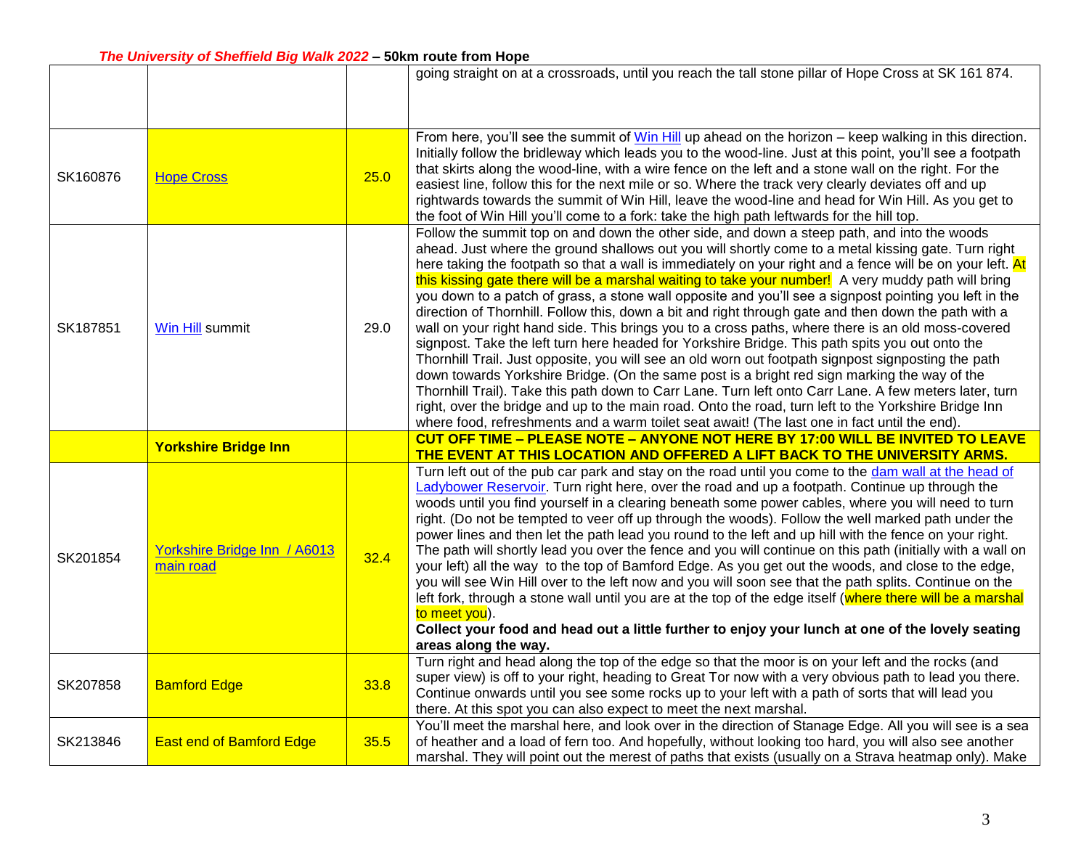|          |                                           |      | going straight on at a crossroads, until you reach the tall stone pillar of Hope Cross at SK 161 874.                                                                                                                                                                                                                                                                                                                                                                                                                                                                                                                                                                                                                                                                                                                                                                                                                                                                                                                                                                                                                                                                                                                                                                                                                                                                      |
|----------|-------------------------------------------|------|----------------------------------------------------------------------------------------------------------------------------------------------------------------------------------------------------------------------------------------------------------------------------------------------------------------------------------------------------------------------------------------------------------------------------------------------------------------------------------------------------------------------------------------------------------------------------------------------------------------------------------------------------------------------------------------------------------------------------------------------------------------------------------------------------------------------------------------------------------------------------------------------------------------------------------------------------------------------------------------------------------------------------------------------------------------------------------------------------------------------------------------------------------------------------------------------------------------------------------------------------------------------------------------------------------------------------------------------------------------------------|
| SK160876 | <b>Hope Cross</b>                         | 25.0 | From here, you'll see the summit of Win Hill up ahead on the horizon – keep walking in this direction.<br>Initially follow the bridleway which leads you to the wood-line. Just at this point, you'll see a footpath<br>that skirts along the wood-line, with a wire fence on the left and a stone wall on the right. For the<br>easiest line, follow this for the next mile or so. Where the track very clearly deviates off and up<br>rightwards towards the summit of Win Hill, leave the wood-line and head for Win Hill. As you get to<br>the foot of Win Hill you'll come to a fork: take the high path leftwards for the hill top.                                                                                                                                                                                                                                                                                                                                                                                                                                                                                                                                                                                                                                                                                                                                  |
| SK187851 | Win Hill summit                           | 29.0 | Follow the summit top on and down the other side, and down a steep path, and into the woods<br>ahead. Just where the ground shallows out you will shortly come to a metal kissing gate. Turn right<br>here taking the footpath so that a wall is immediately on your right and a fence will be on your left. At<br>this kissing gate there will be a marshal waiting to take your number! A very muddy path will bring<br>you down to a patch of grass, a stone wall opposite and you'll see a signpost pointing you left in the<br>direction of Thornhill. Follow this, down a bit and right through gate and then down the path with a<br>wall on your right hand side. This brings you to a cross paths, where there is an old moss-covered<br>signpost. Take the left turn here headed for Yorkshire Bridge. This path spits you out onto the<br>Thornhill Trail. Just opposite, you will see an old worn out footpath signpost signposting the path<br>down towards Yorkshire Bridge. (On the same post is a bright red sign marking the way of the<br>Thornhill Trail). Take this path down to Carr Lane. Turn left onto Carr Lane. A few meters later, turn<br>right, over the bridge and up to the main road. Onto the road, turn left to the Yorkshire Bridge Inn<br>where food, refreshments and a warm toilet seat await! (The last one in fact until the end). |
|          | <b>Yorkshire Bridge Inn</b>               |      | CUT OFF TIME - PLEASE NOTE - ANYONE NOT HERE BY 17:00 WILL BE INVITED TO LEAVE<br>THE EVENT AT THIS LOCATION AND OFFERED A LIFT BACK TO THE UNIVERSITY ARMS.                                                                                                                                                                                                                                                                                                                                                                                                                                                                                                                                                                                                                                                                                                                                                                                                                                                                                                                                                                                                                                                                                                                                                                                                               |
| SK201854 | Yorkshire Bridge Inn / A6013<br>main road | 32.4 | Turn left out of the pub car park and stay on the road until you come to the dam wall at the head of<br>Ladybower Reservoir. Turn right here, over the road and up a footpath. Continue up through the<br>woods until you find yourself in a clearing beneath some power cables, where you will need to turn<br>right. (Do not be tempted to veer off up through the woods). Follow the well marked path under the<br>power lines and then let the path lead you round to the left and up hill with the fence on your right.<br>The path will shortly lead you over the fence and you will continue on this path (initially with a wall on<br>your left) all the way to the top of Bamford Edge. As you get out the woods, and close to the edge,<br>you will see Win Hill over to the left now and you will soon see that the path splits. Continue on the<br>left fork, through a stone wall until you are at the top of the edge itself (where there will be a marshal<br>to meet you).<br>Collect your food and head out a little further to enjoy your lunch at one of the lovely seating<br>areas along the way.                                                                                                                                                                                                                                                     |
| SK207858 | <b>Bamford Edge</b>                       | 33.8 | Turn right and head along the top of the edge so that the moor is on your left and the rocks (and<br>super view) is off to your right, heading to Great Tor now with a very obvious path to lead you there.<br>Continue onwards until you see some rocks up to your left with a path of sorts that will lead you<br>there. At this spot you can also expect to meet the next marshal.                                                                                                                                                                                                                                                                                                                                                                                                                                                                                                                                                                                                                                                                                                                                                                                                                                                                                                                                                                                      |
| SK213846 | <b>East end of Bamford Edge</b>           | 35.5 | You'll meet the marshal here, and look over in the direction of Stanage Edge. All you will see is a sea<br>of heather and a load of fern too. And hopefully, without looking too hard, you will also see another                                                                                                                                                                                                                                                                                                                                                                                                                                                                                                                                                                                                                                                                                                                                                                                                                                                                                                                                                                                                                                                                                                                                                           |